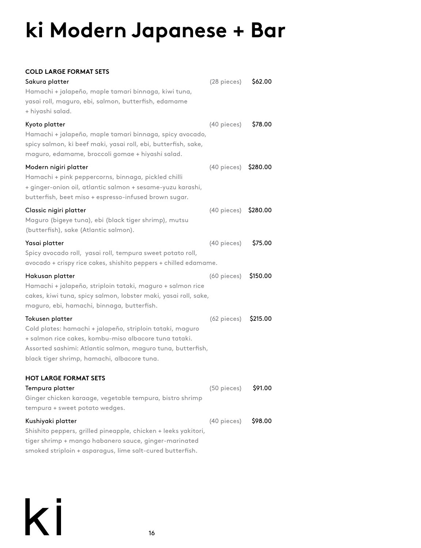## **ki Modern Japanese + Bar**

## **COLD LARGE FORMAT SETS**

| Sakura platter<br>Hamachi + jalapeño, maple tamari binnaga, kiwi tuna,<br>yasai roll, maguro, ebi, salmon, butterfish, edamame<br>+ hiyashi salad.                                                                                                  | $(28$ pieces) | \$62.00  |
|-----------------------------------------------------------------------------------------------------------------------------------------------------------------------------------------------------------------------------------------------------|---------------|----------|
| Kyoto platter<br>Hamachi + jalapeño, maple tamari binnaga, spicy avocado,<br>spicy salmon, ki beef maki, yasai roll, ebi, butterfish, sake,<br>maguro, edamame, broccoli gomae + hiyashi salad.                                                     | (40 pieces)   | \$78.00  |
| Modern nigiri platter<br>Hamachi + pink peppercorns, binnaga, pickled chilli<br>+ ginger-onion oil, atlantic salmon + sesame-yuzu karashi,<br>butterfish, beet miso + espresso-infused brown sugar.                                                 | (40 pieces)   | \$280.00 |
| Classic nigiri platter<br>Maguro (bigeye tuna), ebi (black tiger shrimp), mutsu<br>(butterfish), sake (Atlantic salmon).                                                                                                                            | (40 pieces)   | \$280.00 |
| Yasai platter<br>Spicy avocado roll, yasai roll, tempura sweet potato roll,<br>avocado + crispy rice cakes, shishito peppers + chilled edamame.                                                                                                     | (40 pieces)   | \$75.00  |
| Hakusan platter<br>Hamachi + jalapeño, striploin tataki, maguro + salmon rice<br>cakes, kiwi tuna, spicy salmon, lobster maki, yasai roll, sake,<br>maguro, ebi, hamachi, binnaga, butterfish.                                                      | (60 pieces)   | \$150.00 |
| Tokusen platter<br>Cold plates: hamachi + jalapeño, striploin tataki, maguro<br>+ salmon rice cakes, kombu-miso albacore tuna tataki.<br>Assorted sashimi: Atlantic salmon, maguro tuna, butterfish,<br>black tiger shrimp, hamachi, albacore tuna. | (62 pieces)   | \$215.00 |
| <b>HOT LARGE FORMAT SETS</b><br>Tempura platter<br>Ginger chicken karaage, vegetable tempura, bistro shrimp<br>tempura + sweet potato wedges.                                                                                                       | (50 pieces)   | \$91.00  |
| Kushiyaki platter<br>Shishito peppers, grilled pineapple, chicken + leeks yakitori,<br>tiger shrimp + mango habanero sauce, ginger-marinated<br>smoked striploin + asparagus, lime salt-cured butterfish.                                           | (40 pieces)   | \$98.00  |